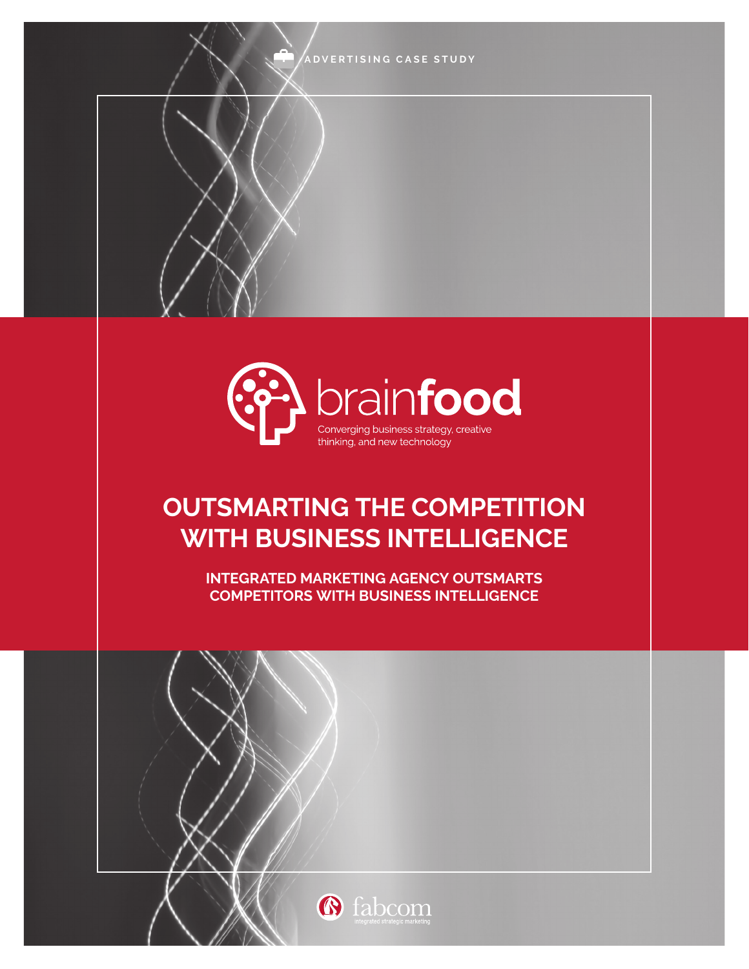**ADVERTISING CASE STUDY**



# **OUTSMARTING THE COMPETITION WITH BUSINESS INTELLIGENCE**

**INTEGRATED MARKETING AGENCY OUTSMARTS COMPETITORS WITH BUSINESS INTELLIGENCE**



 $1$  fabric  $1$  fabric  $1$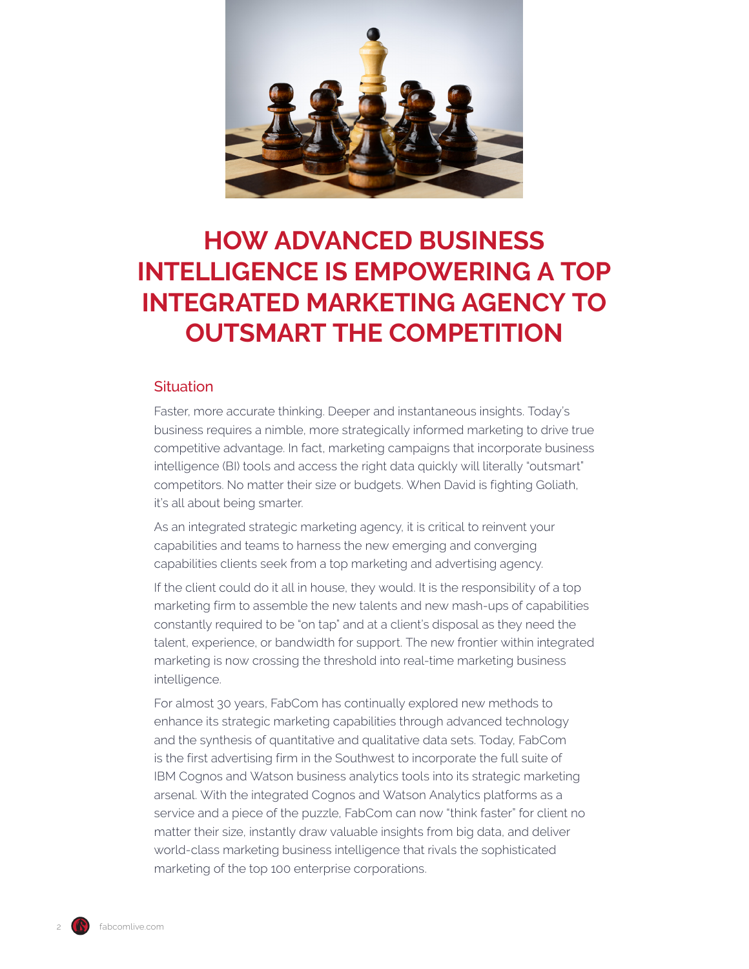

## **HOW ADVANCED BUSINESS INTELLIGENCE IS EMPOWERING A TOP INTEGRATED MARKETING AGENCY TO OUTSMART THE COMPETITION**

## **Situation**

Faster, more accurate thinking. Deeper and instantaneous insights. Today's business requires a nimble, more strategically informed marketing to drive true competitive advantage. In fact, marketing campaigns that incorporate business intelligence (BI) tools and access the right data quickly will literally "outsmart" competitors. No matter their size or budgets. When David is fighting Goliath, it's all about being smarter.

As an integrated strategic marketing agency, it is critical to reinvent your capabilities and teams to harness the new emerging and converging capabilities clients seek from a top marketing and advertising agency.

If the client could do it all in house, they would. It is the responsibility of a top marketing firm to assemble the new talents and new mash-ups of capabilities constantly required to be "on tap" and at a client's disposal as they need the talent, experience, or bandwidth for support. The new frontier within integrated marketing is now crossing the threshold into real-time marketing business intelligence.

For almost 30 years, FabCom has continually explored new methods to enhance its strategic marketing capabilities through advanced technology and the synthesis of quantitative and qualitative data sets. Today, FabCom is the first advertising firm in the Southwest to incorporate the full suite of IBM Cognos and Watson business analytics tools into its strategic marketing arsenal. With the integrated Cognos and Watson Analytics platforms as a service and a piece of the puzzle, FabCom can now "think faster" for client no matter their size, instantly draw valuable insights from big data, and deliver world-class marketing business intelligence that rivals the sophisticated marketing of the top 100 enterprise corporations.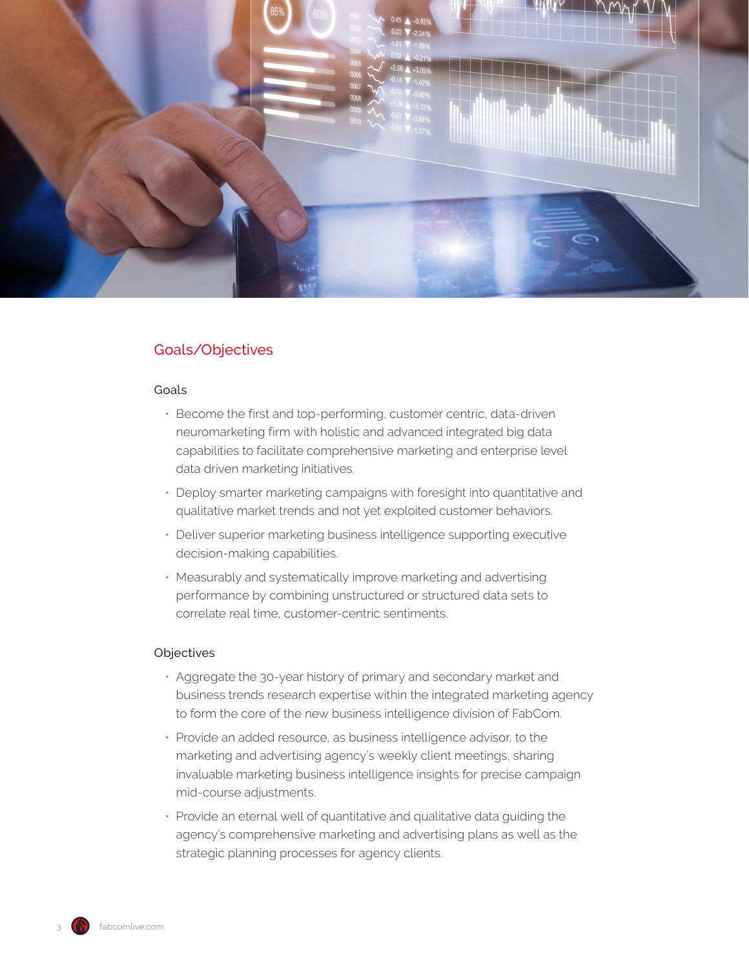

## Goals/Objectives

#### Goals

- Become the first and top-performing, customer centric, data-driven neuromarketing firm with holistic and advanced integrated big data capabilities to facilitate comprehensive marketing and enterprise level data driven marketing initiatives.
- Deploy smarter marketing campaigns with foresight into quantitative and qualitative market trends and not yet exploited customer behaviors.
- Deliver superior marketing business intelligence supporting executive decision-making capabilities.
- Measurably and systematically improve marketing and advertising performance by combining unstructured or structured data sets to correlate real time, customer-centric sentiments.

#### Objectives

- Aggregate the 30-year history of primary and secondary market and business trends research expertise within the integrated marketing agency to form the core of the new business intelligence division of FabCom.
- Provide an added resource, as business intelligence advisor, to the marketing and advertising agency's weekly client meetings, sharing invaluable marketing business intelligence insights for precise campaign mid-course adjustments.
- Provide an eternal well of quantitative and qualitative data guiding the agency's comprehensive marketing and advertising plans as well as the strategic planning processes for agency clients.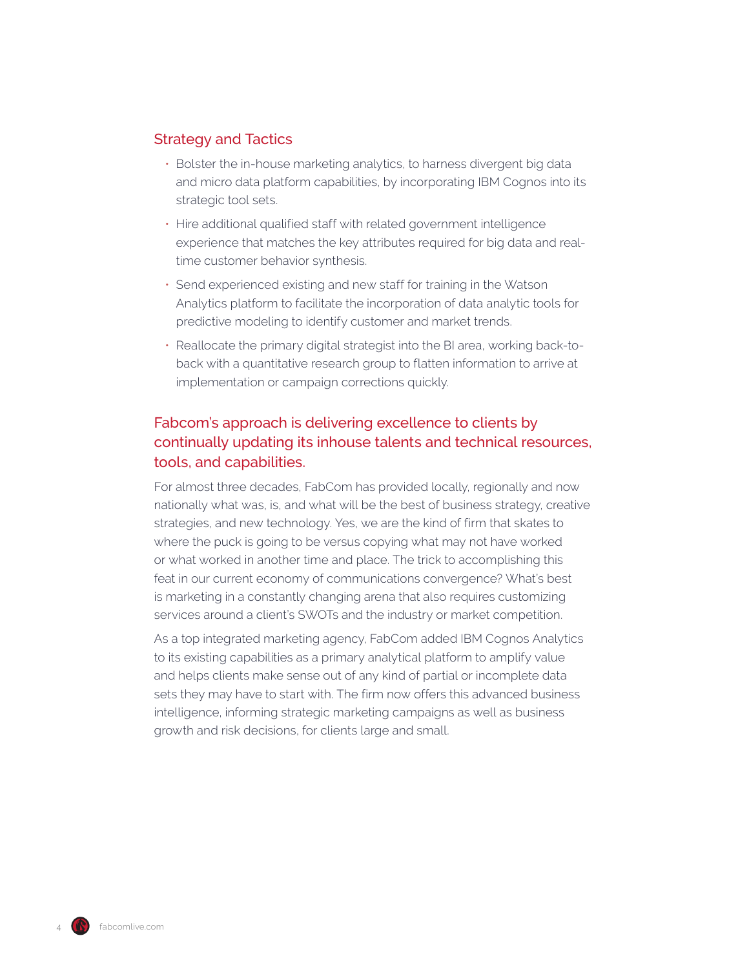### Strategy and Tactics

- Bolster the in-house marketing analytics, to harness divergent big data and micro data platform capabilities, by incorporating IBM Cognos into its strategic tool sets.
- Hire additional qualified staff with related government intelligence experience that matches the key attributes required for big data and realtime customer behavior synthesis.
- Send experienced existing and new staff for training in the Watson Analytics platform to facilitate the incorporation of data analytic tools for predictive modeling to identify customer and market trends.
- Reallocate the primary digital strategist into the BI area, working back-toback with a quantitative research group to flatten information to arrive at implementation or campaign corrections quickly.

## Fabcom's approach is delivering excellence to clients by continually updating its inhouse talents and technical resources, tools, and capabilities.

For almost three decades, FabCom has provided locally, regionally and now nationally what was, is, and what will be the best of business strategy, creative strategies, and new technology. Yes, we are the kind of firm that skates to where the puck is going to be versus copying what may not have worked or what worked in another time and place. The trick to accomplishing this feat in our current economy of communications convergence? What's best is marketing in a constantly changing arena that also requires customizing services around a client's SWOTs and the industry or market competition.

As a top integrated marketing agency, FabCom added IBM Cognos Analytics to its existing capabilities as a primary analytical platform to amplify value and helps clients make sense out of any kind of partial or incomplete data sets they may have to start with. The firm now offers this advanced business intelligence, informing strategic marketing campaigns as well as business growth and risk decisions, for clients large and small.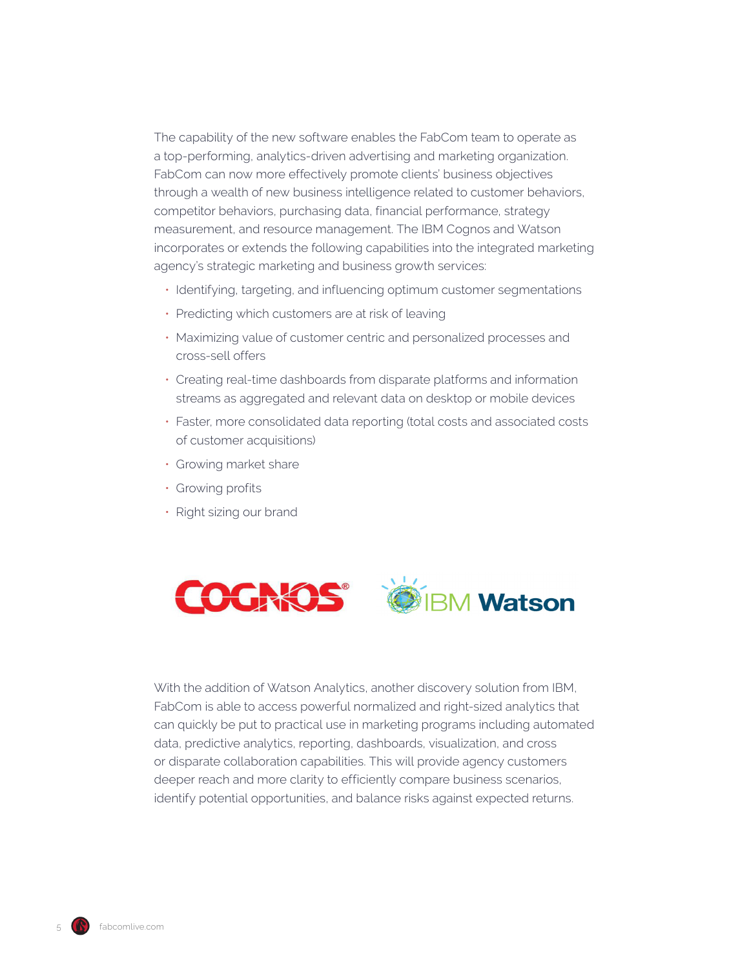The capability of the new software enables the FabCom team to operate as a top-performing, analytics-driven advertising and marketing organization. FabCom can now more effectively promote clients' business objectives through a wealth of new business intelligence related to customer behaviors, competitor behaviors, purchasing data, financial performance, strategy measurement, and resource management. The IBM Cognos and Watson incorporates or extends the following capabilities into the integrated marketing agency's strategic marketing and business growth services:

- Identifying, targeting, and influencing optimum customer segmentations
- Predicting which customers are at risk of leaving
- Maximizing value of customer centric and personalized processes and cross-sell offers
- Creating real-time dashboards from disparate platforms and information streams as aggregated and relevant data on desktop or mobile devices
- Faster, more consolidated data reporting (total costs and associated costs of customer acquisitions)
- Growing market share
- Growing profits
- Right sizing our brand



With the addition of Watson Analytics, another discovery solution from IBM, FabCom is able to access powerful normalized and right-sized analytics that can quickly be put to practical use in marketing programs including automated data, predictive analytics, reporting, dashboards, visualization, and cross or disparate collaboration capabilities. This will provide agency customers deeper reach and more clarity to efficiently compare business scenarios, identify potential opportunities, and balance risks against expected returns.